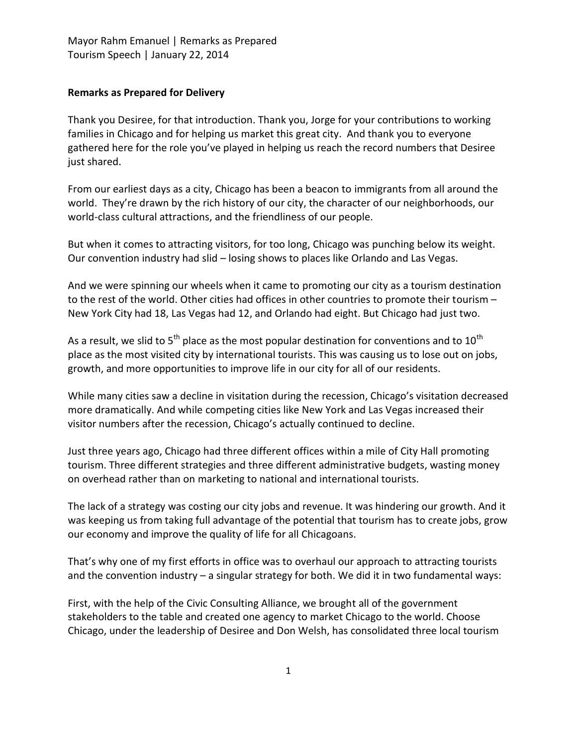## **Remarks as Prepared for Delivery**

Thank you Desiree, for that introduction. Thank you, Jorge for your contributions to working families in Chicago and for helping us market this great city. And thank you to everyone gathered here for the role you've played in helping us reach the record numbers that Desiree just shared.

From our earliest days as a city, Chicago has been a beacon to immigrants from all around the world. They're drawn by the rich history of our city, the character of our neighborhoods, our world-class cultural attractions, and the friendliness of our people.

But when it comes to attracting visitors, for too long, Chicago was punching below its weight. Our convention industry had slid – losing shows to places like Orlando and Las Vegas.

And we were spinning our wheels when it came to promoting our city as a tourism destination to the rest of the world. Other cities had offices in other countries to promote their tourism – New York City had 18, Las Vegas had 12, and Orlando had eight. But Chicago had just two.

As a result, we slid to  $5<sup>th</sup>$  place as the most popular destination for conventions and to  $10<sup>th</sup>$ place as the most visited city by international tourists. This was causing us to lose out on jobs, growth, and more opportunities to improve life in our city for all of our residents.

While many cities saw a decline in visitation during the recession, Chicago's visitation decreased more dramatically. And while competing cities like New York and Las Vegas increased their visitor numbers after the recession, Chicago's actually continued to decline.

Just three years ago, Chicago had three different offices within a mile of City Hall promoting tourism. Three different strategies and three different administrative budgets, wasting money on overhead rather than on marketing to national and international tourists.

The lack of a strategy was costing our city jobs and revenue. It was hindering our growth. And it was keeping us from taking full advantage of the potential that tourism has to create jobs, grow our economy and improve the quality of life for all Chicagoans.

That's why one of my first efforts in office was to overhaul our approach to attracting tourists and the convention industry – a singular strategy for both. We did it in two fundamental ways:

First, with the help of the Civic Consulting Alliance, we brought all of the government stakeholders to the table and created one agency to market Chicago to the world. Choose Chicago, under the leadership of Desiree and Don Welsh, has consolidated three local tourism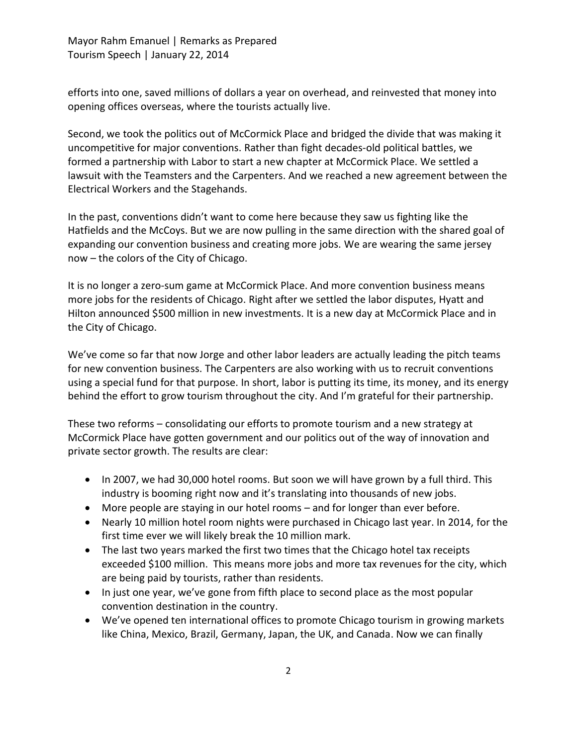Mayor Rahm Emanuel | Remarks as Prepared Tourism Speech | January 22, 2014

efforts into one, saved millions of dollars a year on overhead, and reinvested that money into opening offices overseas, where the tourists actually live.

Second, we took the politics out of McCormick Place and bridged the divide that was making it uncompetitive for major conventions. Rather than fight decades-old political battles, we formed a partnership with Labor to start a new chapter at McCormick Place. We settled a lawsuit with the Teamsters and the Carpenters. And we reached a new agreement between the Electrical Workers and the Stagehands.

In the past, conventions didn't want to come here because they saw us fighting like the Hatfields and the McCoys. But we are now pulling in the same direction with the shared goal of expanding our convention business and creating more jobs. We are wearing the same jersey now – the colors of the City of Chicago.

It is no longer a zero-sum game at McCormick Place. And more convention business means more jobs for the residents of Chicago. Right after we settled the labor disputes, Hyatt and Hilton announced \$500 million in new investments. It is a new day at McCormick Place and in the City of Chicago.

We've come so far that now Jorge and other labor leaders are actually leading the pitch teams for new convention business. The Carpenters are also working with us to recruit conventions using a special fund for that purpose. In short, labor is putting its time, its money, and its energy behind the effort to grow tourism throughout the city. And I'm grateful for their partnership.

These two reforms – consolidating our efforts to promote tourism and a new strategy at McCormick Place have gotten government and our politics out of the way of innovation and private sector growth. The results are clear:

- In 2007, we had 30,000 hotel rooms. But soon we will have grown by a full third. This industry is booming right now and it's translating into thousands of new jobs.
- More people are staying in our hotel rooms and for longer than ever before.
- Nearly 10 million hotel room nights were purchased in Chicago last year. In 2014, for the first time ever we will likely break the 10 million mark.
- The last two years marked the first two times that the Chicago hotel tax receipts exceeded \$100 million. This means more jobs and more tax revenues for the city, which are being paid by tourists, rather than residents.
- In just one year, we've gone from fifth place to second place as the most popular convention destination in the country.
- We've opened ten international offices to promote Chicago tourism in growing markets like China, Mexico, Brazil, Germany, Japan, the UK, and Canada. Now we can finally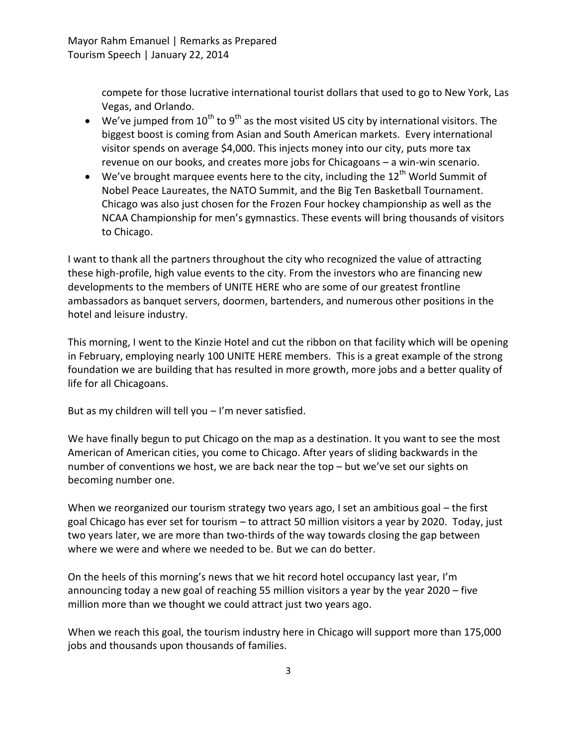compete for those lucrative international tourist dollars that used to go to New York, Las Vegas, and Orlando.

- $\bullet$  We've jumped from 10<sup>th</sup> to 9<sup>th</sup> as the most visited US city by international visitors. The biggest boost is coming from Asian and South American markets. Every international visitor spends on average \$4,000. This injects money into our city, puts more tax revenue on our books, and creates more jobs for Chicagoans – a win-win scenario.
- $\bullet$  We've brought marquee events here to the city, including the 12<sup>th</sup> World Summit of Nobel Peace Laureates, the NATO Summit, and the Big Ten Basketball Tournament. Chicago was also just chosen for the Frozen Four hockey championship as well as the NCAA Championship for men's gymnastics. These events will bring thousands of visitors to Chicago.

I want to thank all the partners throughout the city who recognized the value of attracting these high-profile, high value events to the city. From the investors who are financing new developments to the members of UNITE HERE who are some of our greatest frontline ambassadors as banquet servers, doormen, bartenders, and numerous other positions in the hotel and leisure industry.

This morning, I went to the Kinzie Hotel and cut the ribbon on that facility which will be opening in February, employing nearly 100 UNITE HERE members. This is a great example of the strong foundation we are building that has resulted in more growth, more jobs and a better quality of life for all Chicagoans.

But as my children will tell you – I'm never satisfied.

We have finally begun to put Chicago on the map as a destination. It you want to see the most American of American cities, you come to Chicago. After years of sliding backwards in the number of conventions we host, we are back near the top – but we've set our sights on becoming number one.

When we reorganized our tourism strategy two years ago, I set an ambitious goal – the first goal Chicago has ever set for tourism – to attract 50 million visitors a year by 2020. Today, just two years later, we are more than two-thirds of the way towards closing the gap between where we were and where we needed to be. But we can do better.

On the heels of this morning's news that we hit record hotel occupancy last year, I'm announcing today a new goal of reaching 55 million visitors a year by the year 2020 – five million more than we thought we could attract just two years ago.

When we reach this goal, the tourism industry here in Chicago will support more than 175,000 jobs and thousands upon thousands of families.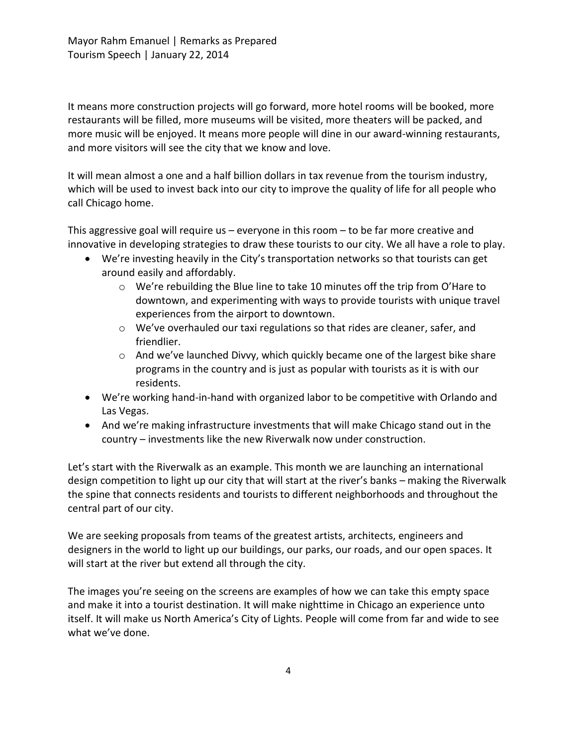It means more construction projects will go forward, more hotel rooms will be booked, more restaurants will be filled, more museums will be visited, more theaters will be packed, and more music will be enjoyed. It means more people will dine in our award-winning restaurants, and more visitors will see the city that we know and love.

It will mean almost a one and a half billion dollars in tax revenue from the tourism industry, which will be used to invest back into our city to improve the quality of life for all people who call Chicago home.

This aggressive goal will require us – everyone in this room – to be far more creative and innovative in developing strategies to draw these tourists to our city. We all have a role to play.

- We're investing heavily in the City's transportation networks so that tourists can get around easily and affordably.
	- $\circ$  We're rebuilding the Blue line to take 10 minutes off the trip from O'Hare to downtown, and experimenting with ways to provide tourists with unique travel experiences from the airport to downtown.
	- o We've overhauled our taxi regulations so that rides are cleaner, safer, and friendlier.
	- $\circ$  And we've launched Divvy, which quickly became one of the largest bike share programs in the country and is just as popular with tourists as it is with our residents.
- We're working hand-in-hand with organized labor to be competitive with Orlando and Las Vegas.
- And we're making infrastructure investments that will make Chicago stand out in the country – investments like the new Riverwalk now under construction.

Let's start with the Riverwalk as an example. This month we are launching an international design competition to light up our city that will start at the river's banks – making the Riverwalk the spine that connects residents and tourists to different neighborhoods and throughout the central part of our city.

We are seeking proposals from teams of the greatest artists, architects, engineers and designers in the world to light up our buildings, our parks, our roads, and our open spaces. It will start at the river but extend all through the city.

The images you're seeing on the screens are examples of how we can take this empty space and make it into a tourist destination. It will make nighttime in Chicago an experience unto itself. It will make us North America's City of Lights. People will come from far and wide to see what we've done.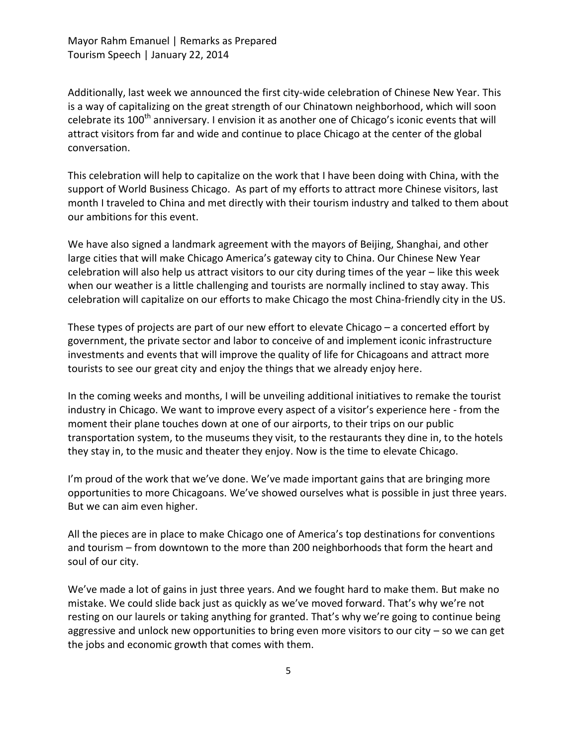Mayor Rahm Emanuel | Remarks as Prepared Tourism Speech | January 22, 2014

Additionally, last week we announced the first city-wide celebration of Chinese New Year. This is a way of capitalizing on the great strength of our Chinatown neighborhood, which will soon celebrate its 100<sup>th</sup> anniversary. I envision it as another one of Chicago's iconic events that will attract visitors from far and wide and continue to place Chicago at the center of the global conversation.

This celebration will help to capitalize on the work that I have been doing with China, with the support of World Business Chicago. As part of my efforts to attract more Chinese visitors, last month I traveled to China and met directly with their tourism industry and talked to them about our ambitions for this event.

We have also signed a landmark agreement with the mayors of Beijing, Shanghai, and other large cities that will make Chicago America's gateway city to China. Our Chinese New Year celebration will also help us attract visitors to our city during times of the year – like this week when our weather is a little challenging and tourists are normally inclined to stay away. This celebration will capitalize on our efforts to make Chicago the most China-friendly city in the US.

These types of projects are part of our new effort to elevate Chicago – a concerted effort by government, the private sector and labor to conceive of and implement iconic infrastructure investments and events that will improve the quality of life for Chicagoans and attract more tourists to see our great city and enjoy the things that we already enjoy here.

In the coming weeks and months, I will be unveiling additional initiatives to remake the tourist industry in Chicago. We want to improve every aspect of a visitor's experience here - from the moment their plane touches down at one of our airports, to their trips on our public transportation system, to the museums they visit, to the restaurants they dine in, to the hotels they stay in, to the music and theater they enjoy. Now is the time to elevate Chicago.

I'm proud of the work that we've done. We've made important gains that are bringing more opportunities to more Chicagoans. We've showed ourselves what is possible in just three years. But we can aim even higher.

All the pieces are in place to make Chicago one of America's top destinations for conventions and tourism – from downtown to the more than 200 neighborhoods that form the heart and soul of our city.

We've made a lot of gains in just three years. And we fought hard to make them. But make no mistake. We could slide back just as quickly as we've moved forward. That's why we're not resting on our laurels or taking anything for granted. That's why we're going to continue being aggressive and unlock new opportunities to bring even more visitors to our city – so we can get the jobs and economic growth that comes with them.